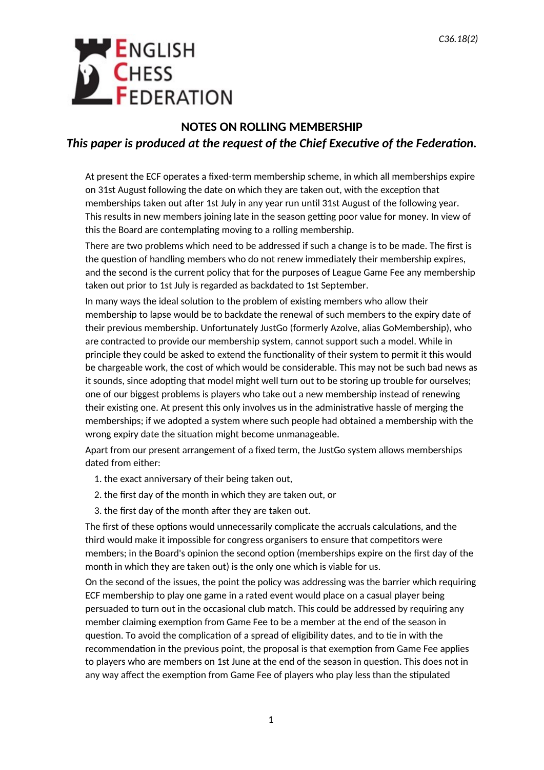## **ENGLISH CHESS**<br>**FEDERATION**

## **NOTES ON ROLLING MEMBERSHIP** *This paper is produced at the request of the Chief Executive of the Federation.*

At present the ECF operates a fixed-term membership scheme, in which all memberships expire on 31st August following the date on which they are taken out, with the exception that memberships taken out after 1st July in any year run until 31st August of the following year. This results in new members joining late in the season getting poor value for money. In view of this the Board are contemplating moving to a rolling membership.

There are two problems which need to be addressed if such a change is to be made. The first is the question of handling members who do not renew immediately their membership expires, and the second is the current policy that for the purposes of League Game Fee any membership taken out prior to 1st July is regarded as backdated to 1st September.

In many ways the ideal solution to the problem of existing members who allow their membership to lapse would be to backdate the renewal of such members to the expiry date of their previous membership. Unfortunately JustGo (formerly Azolve, alias GoMembership), who are contracted to provide our membership system, cannot support such a model. While in principle they could be asked to extend the functionality of their system to permit it this would be chargeable work, the cost of which would be considerable. This may not be such bad news as it sounds, since adopting that model might well turn out to be storing up trouble for ourselves; one of our biggest problems is players who take out a new membership instead of renewing their existing one. At present this only involves us in the administrative hassle of merging the memberships; if we adopted a system where such people had obtained a membership with the wrong expiry date the situation might become unmanageable.

Apart from our present arrangement of a fixed term, the JustGo system allows memberships dated from either:

- 1. the exact anniversary of their being taken out,
- 2. the first day of the month in which they are taken out, or
- 3. the first day of the month after they are taken out.

The first of these options would unnecessarily complicate the accruals calculations, and the third would make it impossible for congress organisers to ensure that competitors were members; in the Board's opinion the second option (memberships expire on the first day of the month in which they are taken out) is the only one which is viable for us.

On the second of the issues, the point the policy was addressing was the barrier which requiring ECF membership to play one game in a rated event would place on a casual player being persuaded to turn out in the occasional club match. This could be addressed by requiring any member claiming exemption from Game Fee to be a member at the end of the season in question. To avoid the complication of a spread of eligibility dates, and to tie in with the recommendation in the previous point, the proposal is that exemption from Game Fee applies to players who are members on 1st June at the end of the season in question. This does not in any way affect the exemption from Game Fee of players who play less than the stipulated